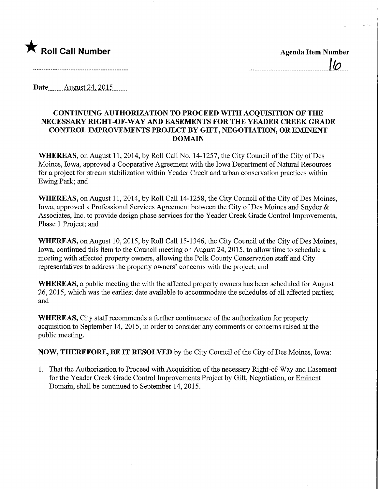

.<br>10

Date ........August 24,2015.

## CONTINUING AUTHORIZATION TO PROCEED WITH ACQUISITION OF THE NECESSARY RIGHT-OF-WAY AND EASEMENTS FOR THE YEADER CREEK GRADE CONTROL IMPROVEMENTS PROJECT BY GIFT, NEGOTIATION, OR EMINENT DOMAIN

WHEREAS, on August 11, 2014, by Roll Call No. 14-1257, the City Council of the City of Des Moines, Iowa, approved a Cooperative Agreement with the Iowa Department of Natural Resources for a project for stream stabilization within Yeader Creek and urban conservation practices within Ewing Park; and

WHEREAS, on August 11, 2014, by Roll Call 14-1258, the City Council of the City of Des Moines, Iowa, approved a Professional Services Agreement between the City of Des Moines and Snyder & Associates, Inc. to provide design phase services for the Yeader Creek Grade Control Improvements, Phase 1 Project; and

WHEREAS, on August 10, 2015, by Roll Call 15-1346, the City Council of the City of Des Moines, Iowa, continued this item to the Council meeting on August 24, 2015, to allow time to schedule a meeting with affected property owners, allowing the Polk County Conservation staff and City representatives to address the property owners' concerns with the project; and

WHEREAS, a public meeting the with the affected property owners has been scheduled for August 26, 2015, which was the earliest date available to accommodate the schedules of all affected parties; and

WHEREAS, City staff recommends a further continuance of the authorization for property acquisition to September 14, 2015, in order to consider any comments or concerns raised at the public meeting.

NOW, THEREFORE, BE IT RESOLVED by the City Council of the City of Des Moines, Iowa:

1. That the Authorization to Proceed with Acquisition of the necessary Right-of-Way and Easement for the Yeader Creek Grade Control Improvements Project by Gift, Negotiation, or Eminent Domain, shall be continued to September 14, 2015.